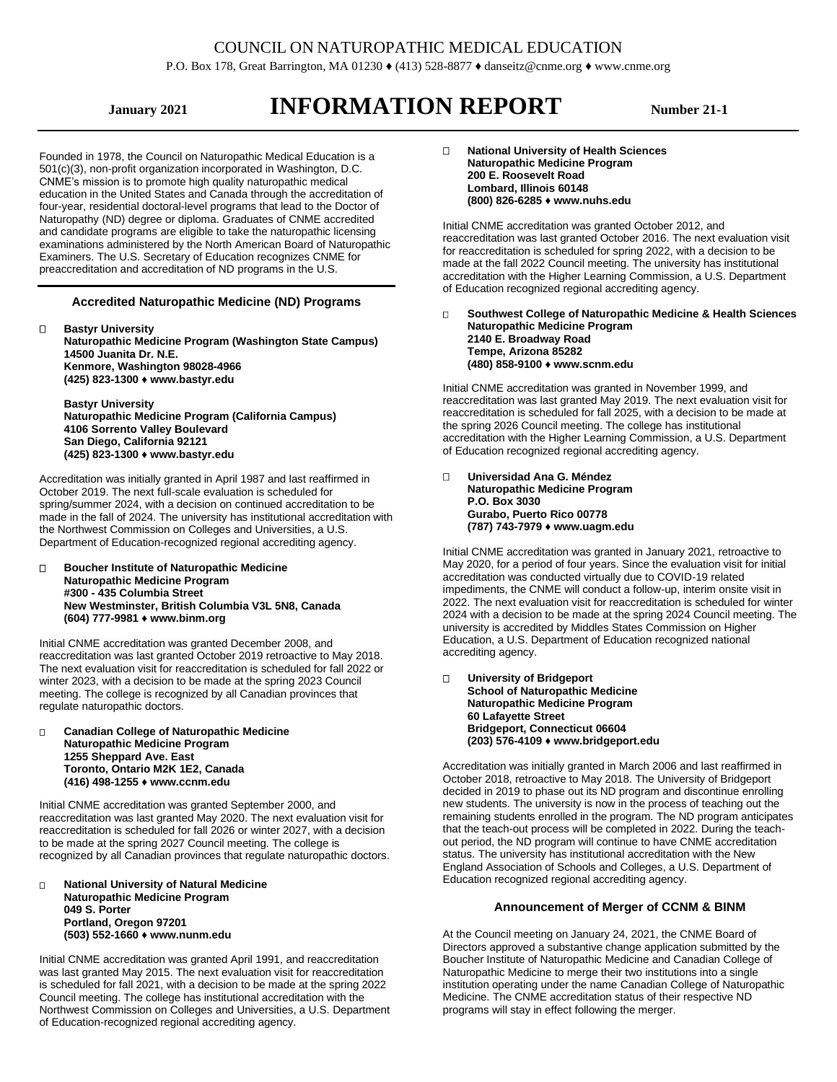# COUNCIL ON NATUROPATHIC MEDICAL EDUCATION

P.O. Box 178, Great Barrington, MA 01230 ♦ (413) 528-8877 ♦ danseitz@cnme.org ♦ [www.cnme.org](http://www.cnme.org/)

# **ISLAUGHT ATTES INFORMATION REPORT Number 21-1**

Founded in 1978, the Council on Naturopathic Medical Education is a 501(c)(3), non-profit organization incorporated in Washington, D.C. CNME's mission is to promote high quality naturopathic medical education in the United States and Canada through the accreditation of four-year, residential doctoral-level programs that lead to the Doctor of Naturopathy (ND) degree or diploma. Graduates of CNME accredited and candidate programs are eligible to take the naturopathic licensing examinations administered by the North American Board of Naturopathic Examiners. The U.S. Secretary of Education recognizes CNME for preaccreditation and accreditation of ND programs in the U.S.

### **Accredited Naturopathic Medicine (ND) Programs**

 **Bastyr University Naturopathic Medicine Program (Washington State Campus) 14500 Juanita Dr. N.E. Kenmore, Washington 98028-4966 (425) 823-1300 ♦ www.bastyr.edu**

**Bastyr University Naturopathic Medicine Program (California Campus) 4106 Sorrento Valley Boulevard San Diego, California 92121 (425) 823-1300 ♦ www.bastyr.edu**

Accreditation was initially granted in April 1987 and last reaffirmed in October 2019. The next full-scale evaluation is scheduled for spring/summer 2024, with a decision on continued accreditation to be made in the fall of 2024. The university has institutional accreditation with the Northwest Commission on Colleges and Universities, a U.S. Department of Education-recognized regional accrediting agency.

 **Boucher Institute of Naturopathic Medicine Naturopathic Medicine Program #300 - 435 Columbia Street New Westminster, British Columbia V3L 5N8, Canada (604) 777-9981 ♦ www.binm.org**

Initial CNME accreditation was granted December 2008, and reaccreditation was last granted October 2019 retroactive to May 2018. The next evaluation visit for reaccreditation is scheduled for fall 2022 or winter 2023, with a decision to be made at the spring 2023 Council meeting. The college is recognized by all Canadian provinces that regulate naturopathic doctors.

 **Canadian College of Naturopathic Medicine Naturopathic Medicine Program 1255 Sheppard Ave. East Toronto, Ontario M2K 1E2, Canada (416) 498-1255 ♦ www.ccnm.edu**

Initial CNME accreditation was granted September 2000, and reaccreditation was last granted May 2020. The next evaluation visit for reaccreditation is scheduled for fall 2026 or winter 2027, with a decision to be made at the spring 2027 Council meeting. The college is recognized by all Canadian provinces that regulate naturopathic doctors.

 **National University of Natural Medicine Naturopathic Medicine Program 049 S. Porter Portland, Oregon 97201 (503) 552-1660 ♦ www.nunm.edu**

Initial CNME accreditation was granted April 1991, and reaccreditation was last granted May 2015. The next evaluation visit for reaccreditation is scheduled for fall 2021, with a decision to be made at the spring 2022 Council meeting. The college has institutional accreditation with the Northwest Commission on Colleges and Universities, a U.S. Department of Education-recognized regional accrediting agency.

 **[National University](http://www.nuhs.edu/) of Health Sciences Naturopathic Medicine Program 200 E. Roosevelt Road Lombard, Illinois 60148 (800) 826-6285 ♦ www.nuhs.edu**

Initial CNME accreditation was granted October 2012, and reaccreditation was last granted October 2016. The next evaluation visit for reaccreditation is scheduled for spring 2022, with a decision to be made at the fall 2022 Council meeting. The university has institutional accreditation with the Higher Learning Commission, a U.S. Department of Education recognized regional accrediting agency.

 **Southwest College of Naturopathic Medicine & Health Sciences Naturopathic Medicine Program 2140 E. Broadway Road Tempe, Arizona 85282 (480) 858-9100 ♦ www.scnm.edu**

Initial CNME accreditation was granted in November 1999, and reaccreditation was last granted May 2019. The next evaluation visit for reaccreditation is scheduled for fall 2025, with a decision to be made at the spring 2026 Council meeting. The college has institutional accreditation with the Higher Learning Commission, a U.S. Department of Education recognized regional accrediting agency.

#### **Universidad Ana G. Méndez Naturopathic Medicine Program**

**P.O. Box 3030 Gurabo, Puerto Rico 00778 (787) 743-7979 ♦ www.uagm.edu**

Initial CNME accreditation was granted in January 2021, retroactive to May 2020, for a period of four years. Since the evaluation visit for initial accreditation was conducted virtually due to COVID-19 related impediments, the CNME will conduct a follow-up, interim onsite visit in 2022. The next evaluation visit for reaccreditation is scheduled for winter 2024 with a decision to be made at the spring 2024 Council meeting. The university is accredited by Middles States Commission on Higher Education, a U.S. Department of Education recognized national accrediting agency.

#### **University of Bridgeport School of Naturopathic Medicine Naturopathic Medicine Program 60 Lafayette Street Bridgeport, Connecticut 06604 (203) 576-4109 ♦ www.bridgeport.edu**

Accreditation was initially granted in March 2006 and last reaffirmed in October 2018, retroactive to May 2018. The University of Bridgeport decided in 2019 to phase out its ND program and discontinue enrolling new students. The university is now in the process of teaching out the remaining students enrolled in the program. The ND program anticipates that the teach-out process will be completed in 2022. During the teachout period, the ND program will continue to have CNME accreditation status. The university has institutional accreditation with the New England Association of Schools and Colleges, a U.S. Department of Education recognized regional accrediting agency.

# **Announcement of Merger of CCNM & BINM**

At the Council meeting on January 24, 2021, the CNME Board of Directors approved a substantive change application submitted by the Boucher Institute of Naturopathic Medicine and Canadian College of Naturopathic Medicine to merge their two institutions into a single institution operating under the name Canadian College of Naturopathic Medicine. The CNME accreditation status of their respective ND programs will stay in effect following the merger.